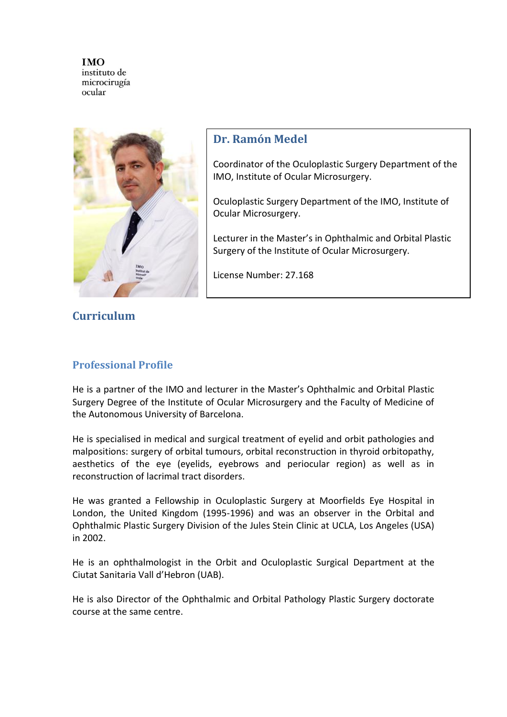

## **Dr. Ramón Medel**

Coordinator of the Oculoplastic Surgery Department of the IMO, Institute of Ocular Microsurgery.

Oculoplastic Surgery Department of the IMO, Institute of Ocular Microsurgery.

Lecturer in the Master's in Ophthalmic and Orbital Plastic Surgery of the Institute of Ocular Microsurgery.

License Number: 27.168

# **Curriculum**

### **Professional Profile**

He is a partner of the IMO and lecturer in the Master's Ophthalmic and Orbital Plastic Surgery Degree of the Institute of Ocular Microsurgery and the Faculty of Medicine of the Autonomous University of Barcelona.

He is specialised in medical and surgical treatment of eyelid and orbit pathologies and malpositions: surgery of orbital tumours, orbital reconstruction in thyroid orbitopathy, aesthetics of the eye (eyelids, eyebrows and periocular region) as well as in reconstruction of lacrimal tract disorders.

He was granted a Fellowship in Oculoplastic Surgery at Moorfields Eye Hospital in London, the United Kingdom (1995-1996) and was an observer in the Orbital and Ophthalmic Plastic Surgery Division of the Jules Stein Clinic at UCLA, Los Angeles (USA) in 2002.

He is an ophthalmologist in the Orbit and Oculoplastic Surgical Department at the Ciutat Sanitaria Vall d'Hebron (UAB).

He is also Director of the Ophthalmic and Orbital Pathology Plastic Surgery doctorate course at the same centre.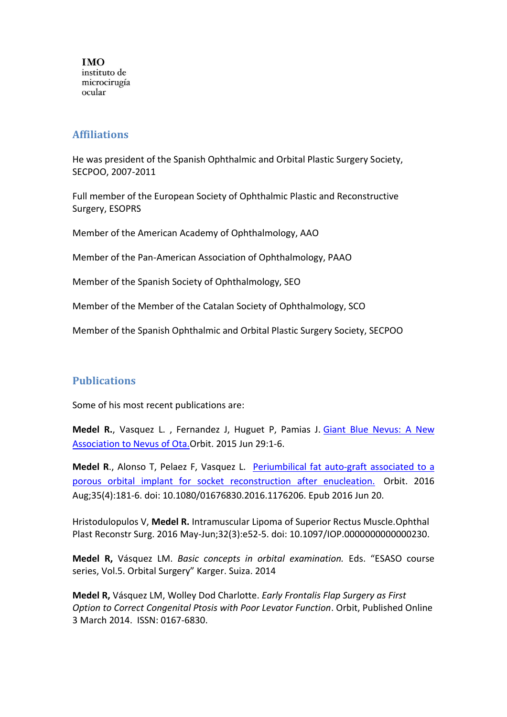#### **Affiliations**

He was president of the Spanish Ophthalmic and Orbital Plastic Surgery Society, SECPOO, 2007-2011

Full member of the European Society of Ophthalmic Plastic and Reconstructive Surgery, ESOPRS

Member of the American Academy of Ophthalmology, AAO

Member of the Pan-American Association of Ophthalmology, PAAO

Member of the Spanish Society of Ophthalmology, SEO

Member of the Member of the Catalan Society of Ophthalmology, SCO

Member of the Spanish Ophthalmic and Orbital Plastic Surgery Society, SECPOO

### **Publications**

Some of his most recent publications are:

**Medel R.**, Vasquez L. , Fernandez J, Huguet P, Pamias J. [Giant Blue Nevus:](http://www.ncbi.nlm.nih.gov/pubmed/26121271) [A New](http://www.ncbi.nlm.nih.gov/pubmed/26121271)  Association to Nevus of Ota.Orbit. 2015 Jun 29:1-6.

**Medel R**., Alonso T, Pelaez F, Vasquez L. [Periumbilical fat auto-graft associated to a](http://www.ncbi.nlm.nih.gov/pubmed/27322024)  [porous orbital implant for socket reconstruction after enucleation.](http://www.ncbi.nlm.nih.gov/pubmed/27322024) Orbit. 2016 Aug;35(4):181-6. doi: 10.1080/01676830.2016.1176206. Epub 2016 Jun 20.

Hristodulopulos V, **Medel R.** [Intramuscular Lipoma of Superior Rectus Muscle.O](https://www.ncbi.nlm.nih.gov/pubmed/25029341)phthal Plast Reconstr Surg. 2016 May-Jun;32(3):e52-5. doi: 10.1097/IOP.0000000000000230.

**Medel R,** Vásquez LM. *Basic concepts in orbital examination.* Eds. "ESASO course series, Vol.5. Orbital Surgery" Karger. Suiza. 2014

**Medel R,** Vásquez LM, Wolley Dod Charlotte. *Early Frontalis Flap Surgery as First Option to Correct Congenital Ptosis with Poor Levator Function*. Orbit, Published Online 3 March 2014. ISSN: 0167-6830.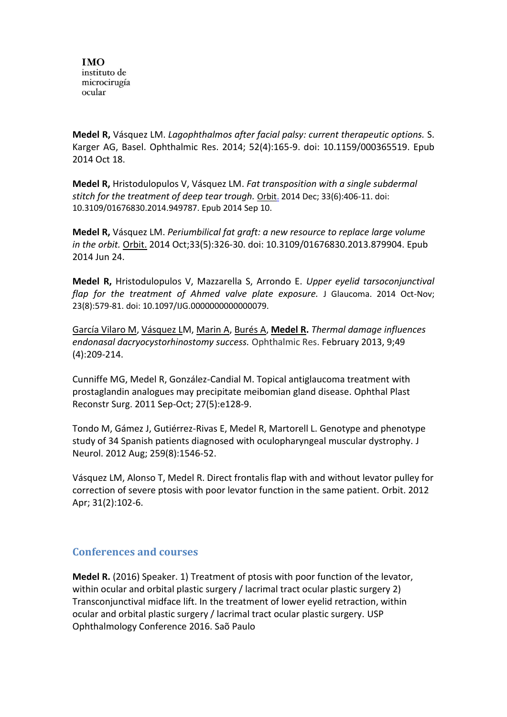**Medel R,** Vásquez LM. *Lagophthalmos after facial palsy: current therapeutic options.* S. Karger AG, Basel. Ophthalmic Res. 2014; 52(4):165-9. doi: 10.1159/000365519. Epub 2014 Oct 18.

**Medel R,** Hristodulopulos V, Vásquez LM. *Fat transposition with a single subdermal stitch for the treatment of deep tear trough.* [Orbit.](http://www.ncbi.nlm.nih.gov/pubmed/25207455) 2014 Dec; 33(6):406-11. doi: 10.3109/01676830.2014.949787. Epub 2014 Sep 10.

**Medel R,** Vásquez LM. *Periumbilical fat graft: a new resource to replace large volume in the orbit.* [Orbit.](http://www.ncbi.nlm.nih.gov/pubmed/24959811) 2014 Oct;33(5):326-30. doi: 10.3109/01676830.2013.879904. Epub 2014 Jun 24.

**Medel R,** Hristodulopulos V, Mazzarella S, Arrondo E. *Upper eyelid tarsoconjunctival flap for the treatment of Ahmed valve plate exposure.* J Glaucoma. 2014 Oct-Nov; 23(8):579-81. doi: 10.1097/IJG.0000000000000079.

[García Vilaro M,](http://www.ncbi.nlm.nih.gov/pubmed?term=Garcia%20Vilaro%20M%5BAuthor%5D&cauthor=true&cauthor_uid=23406657) [Vásquez LM](http://www.ncbi.nlm.nih.gov/pubmed?term=V%C3%A1squez%20L%5BAuthor%5D&cauthor=true&cauthor_uid=23406657), [Marin A,](http://www.ncbi.nlm.nih.gov/pubmed?term=Marin%20A%5BAuthor%5D&cauthor=true&cauthor_uid=23406657) [Burés A,](http://www.ncbi.nlm.nih.gov/pubmed?term=Bur%C3%A9s%20A%5BAuthor%5D&cauthor=true&cauthor_uid=23406657) **[Medel R.](http://www.ncbi.nlm.nih.gov/pubmed?term=Medel%20R%5BAuthor%5D&cauthor=true&cauthor_uid=23406657)** *Thermal damage influences endonasal dacryocystorhinostomy success.* Ophthalmic Res. February 2013, 9;49 (4):209-214.

Cunniffe MG, Medel R, González-Candial M. Topical antiglaucoma treatment with prostaglandin analogues may precipitate meibomian gland disease. Ophthal Plast Reconstr Surg. 2011 Sep-Oct; 27(5):e128-9.

Tondo M, Gámez J, Gutiérrez-Rivas E, Medel R, Martorell L. Genotype and phenotype study of 34 Spanish patients diagnosed with oculopharyngeal muscular dystrophy. J Neurol. 2012 Aug; 259(8):1546-52.

Vásquez LM, Alonso T, Medel R. Direct frontalis flap with and without levator pulley for correction of severe ptosis with poor levator function in the same patient. Orbit. 2012 Apr; 31(2):102-6.

#### **Conferences and courses**

**Medel R.** (2016) Speaker. 1) Treatment of ptosis with poor function of the levator, within ocular and orbital plastic surgery / lacrimal tract ocular plastic surgery 2) Transconjunctival midface lift. In the treatment of lower eyelid retraction, within ocular and orbital plastic surgery / lacrimal tract ocular plastic surgery. USP Ophthalmology Conference 2016. Saõ Paulo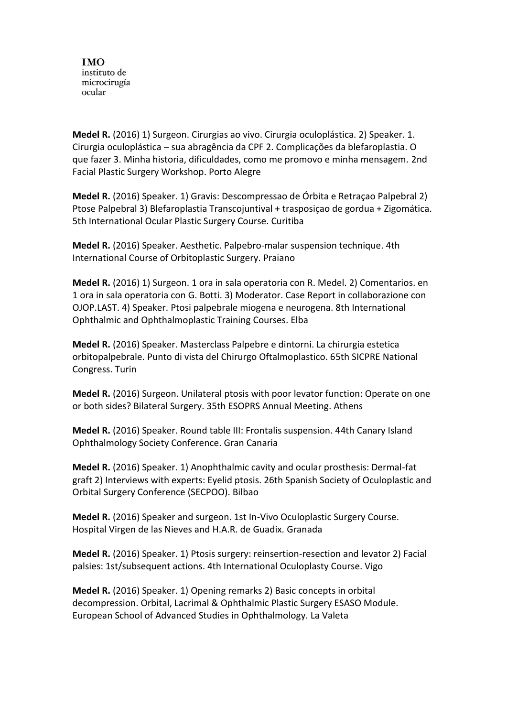**Medel R.** (2016) 1) Surgeon. Cirurgias ao vivo. Cirurgia oculoplástica. 2) Speaker. 1. Cirurgia oculoplástica – sua abragência da CPF 2. Complicações da blefaroplastia. O que fazer 3. Minha historia, dificuldades, como me promovo e minha mensagem. 2nd Facial Plastic Surgery Workshop. Porto Alegre

**Medel R.** (2016) Speaker. 1) Gravis: Descompressao de Órbita e Retraçao Palpebral 2) Ptose Palpebral 3) Blefaroplastia Transcojuntival + trasposiçao de gordua + Zigomática. 5th International Ocular Plastic Surgery Course. Curitiba

**Medel R.** (2016) Speaker. Aesthetic. Palpebro-malar suspension technique. 4th International Course of Orbitoplastic Surgery. Praiano

**Medel R.** (2016) 1) Surgeon. 1 ora in sala operatoria con R. Medel. 2) Comentarios. en 1 ora in sala operatoria con G. Botti. 3) Moderator. Case Report in collaborazione con OJOP.LAST. 4) Speaker. Ptosi palpebrale miogena e neurogena. 8th International Ophthalmic and Ophthalmoplastic Training Courses. Elba

**Medel R.** (2016) Speaker. Masterclass Palpebre e dintorni. La chirurgia estetica orbitopalpebrale. Punto di vista del Chirurgo Oftalmoplastico. 65th SICPRE National Congress. Turin

**Medel R.** (2016) Surgeon. Unilateral ptosis with poor levator function: Operate on one or both sides? Bilateral Surgery. 35th ESOPRS Annual Meeting. Athens

**Medel R.** (2016) Speaker. Round table III: Frontalis suspension. 44th Canary Island Ophthalmology Society Conference. Gran Canaria

**Medel R.** (2016) Speaker. 1) Anophthalmic cavity and ocular prosthesis: Dermal-fat graft 2) Interviews with experts: Eyelid ptosis. 26th Spanish Society of Oculoplastic and Orbital Surgery Conference (SECPOO). Bilbao

**Medel R.** (2016) Speaker and surgeon. 1st In-Vivo Oculoplastic Surgery Course. Hospital Virgen de las Nieves and H.A.R. de Guadix. Granada

**Medel R.** (2016) Speaker. 1) Ptosis surgery: reinsertion-resection and levator 2) Facial palsies: 1st/subsequent actions. 4th International Oculoplasty Course. Vigo

**Medel R.** (2016) Speaker. 1) Opening remarks 2) Basic concepts in orbital decompression. Orbital, Lacrimal & Ophthalmic Plastic Surgery ESASO Module. European School of Advanced Studies in Ophthalmology. La Valeta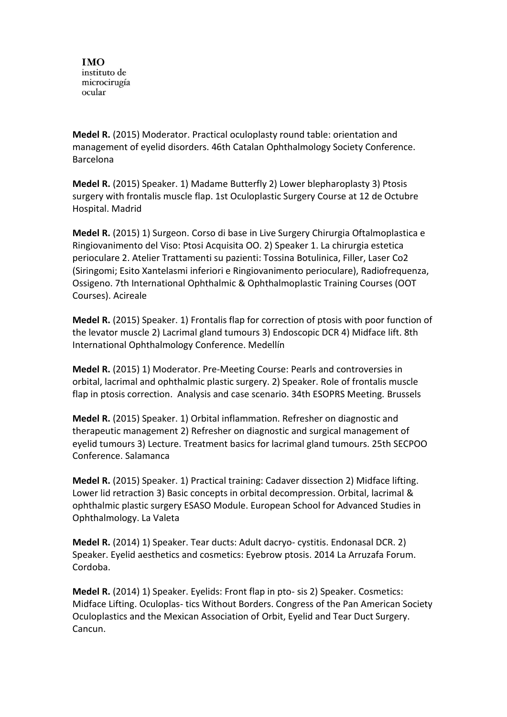**Medel R.** (2015) Moderator. Practical oculoplasty round table: orientation and management of eyelid disorders. 46th Catalan Ophthalmology Society Conference. Barcelona

**Medel R.** (2015) Speaker. 1) Madame Butterfly 2) Lower blepharoplasty 3) Ptosis surgery with frontalis muscle flap. 1st Oculoplastic Surgery Course at 12 de Octubre Hospital. Madrid

**Medel R.** (2015) 1) Surgeon. Corso di base in Live Surgery Chirurgia Oftalmoplastica e Ringiovanimento del Viso: Ptosi Acquisita OO. 2) Speaker 1. La chirurgia estetica perioculare 2. Atelier Trattamenti su pazienti: Tossina Botulinica, Filler, Laser Co2 (Siringomi; Esito Xantelasmi inferiori e Ringiovanimento perioculare), Radiofrequenza, Ossigeno. 7th International Ophthalmic & Ophthalmoplastic Training Courses (OOT Courses). Acireale

**Medel R.** (2015) Speaker. 1) Frontalis flap for correction of ptosis with poor function of the levator muscle 2) Lacrimal gland tumours 3) Endoscopic DCR 4) Midface lift. 8th International Ophthalmology Conference. Medellín

**Medel R.** (2015) 1) Moderator. Pre-Meeting Course: Pearls and controversies in orbital, lacrimal and ophthalmic plastic surgery. 2) Speaker. Role of frontalis muscle flap in ptosis correction. Analysis and case scenario. 34th ESOPRS Meeting. Brussels

**Medel R.** (2015) Speaker. 1) Orbital inflammation. Refresher on diagnostic and therapeutic management 2) Refresher on diagnostic and surgical management of eyelid tumours 3) Lecture. Treatment basics for lacrimal gland tumours. 25th SECPOO Conference. Salamanca

**Medel R.** (2015) Speaker. 1) Practical training: Cadaver dissection 2) Midface lifting. Lower lid retraction 3) Basic concepts in orbital decompression. Orbital, lacrimal & ophthalmic plastic surgery ESASO Module. European School for Advanced Studies in Ophthalmology. La Valeta

**Medel R.** (2014) 1) Speaker. Tear ducts: Adult dacryo- cystitis. Endonasal DCR. 2) Speaker. Eyelid aesthetics and cosmetics: Eyebrow ptosis. 2014 La Arruzafa Forum. Cordoba.

**Medel R.** (2014) 1) Speaker. Eyelids: Front flap in pto- sis 2) Speaker. Cosmetics: Midface Lifting. Oculoplas- tics Without Borders. Congress of the Pan American Society Oculoplastics and the Mexican Association of Orbit, Eyelid and Tear Duct Surgery. Cancun.